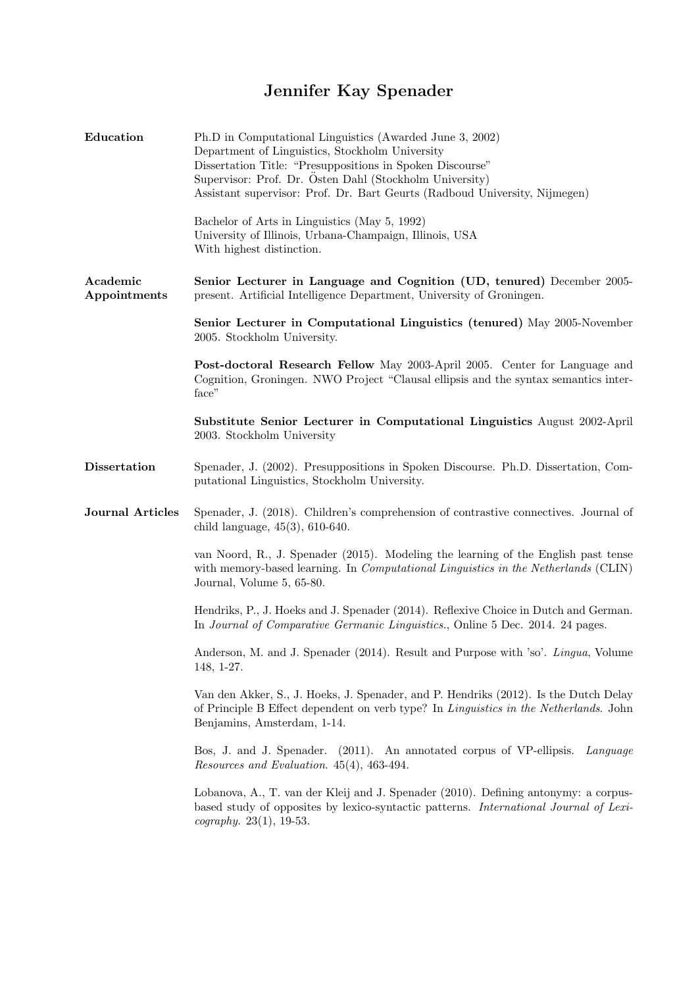## Jennifer Kay Spenader

| Education                | Ph.D in Computational Linguistics (Awarded June 3, 2002)<br>Department of Linguistics, Stockholm University<br>Dissertation Title: "Presuppositions in Spoken Discourse"<br>Supervisor: Prof. Dr. Östen Dahl (Stockholm University)<br>Assistant supervisor: Prof. Dr. Bart Geurts (Radboud University, Nijmegen) |
|--------------------------|-------------------------------------------------------------------------------------------------------------------------------------------------------------------------------------------------------------------------------------------------------------------------------------------------------------------|
|                          | Bachelor of Arts in Linguistics (May 5, 1992)<br>University of Illinois, Urbana-Champaign, Illinois, USA<br>With highest distinction.                                                                                                                                                                             |
| Academic<br>Appointments | Senior Lecturer in Language and Cognition (UD, tenured) December 2005-<br>present. Artificial Intelligence Department, University of Groningen.                                                                                                                                                                   |
|                          | Senior Lecturer in Computational Linguistics (tenured) May 2005-November<br>2005. Stockholm University.                                                                                                                                                                                                           |
|                          | <b>Post-doctoral Research Fellow</b> May 2003-April 2005. Center for Language and<br>Cognition, Groningen. NWO Project "Clausal ellipsis and the syntax semantics inter-<br>face"                                                                                                                                 |
|                          | Substitute Senior Lecturer in Computational Linguistics August 2002-April<br>2003. Stockholm University                                                                                                                                                                                                           |
| <b>Dissertation</b>      | Spenader, J. (2002). Presuppositions in Spoken Discourse. Ph.D. Dissertation, Com-<br>putational Linguistics, Stockholm University.                                                                                                                                                                               |
| <b>Journal Articles</b>  | Spenader, J. (2018). Children's comprehension of contrastive connectives. Journal of<br>child language, $45(3)$ , $610-640$ .                                                                                                                                                                                     |
|                          | van Noord, R., J. Spenader (2015). Modeling the learning of the English past tense<br>with memory-based learning. In <i>Computational Linguistics in the Netherlands</i> (CLIN)<br>Journal, Volume 5, 65-80.                                                                                                      |
|                          | Hendriks, P., J. Hoeks and J. Spenader (2014). Reflexive Choice in Dutch and German.<br>In Journal of Comparative Germanic Linguistics., Online 5 Dec. 2014. 24 pages.                                                                                                                                            |
|                          | Anderson, M. and J. Spenader (2014). Result and Purpose with 'so'. Lingua, Volume<br>148, 1-27.                                                                                                                                                                                                                   |
|                          | Van den Akker, S., J. Hoeks, J. Spenader, and P. Hendriks (2012). Is the Dutch Delay<br>of Principle B Effect dependent on verb type? In <i>Linguistics in the Netherlands</i> . John<br>Benjamins, Amsterdam, 1-14.                                                                                              |
|                          | Bos, J. and J. Spenader. (2011). An annotated corpus of VP-ellipsis. Language<br>Resources and Evaluation. 45(4), 463-494.                                                                                                                                                                                        |
|                          | Lobanova, A., T. van der Kleij and J. Spenader (2010). Defining antonymy: a corpus-<br>based study of opposites by lexico-syntactic patterns. International Journal of Lexi-<br><i>cography.</i> 23(1), 19-53.                                                                                                    |
|                          |                                                                                                                                                                                                                                                                                                                   |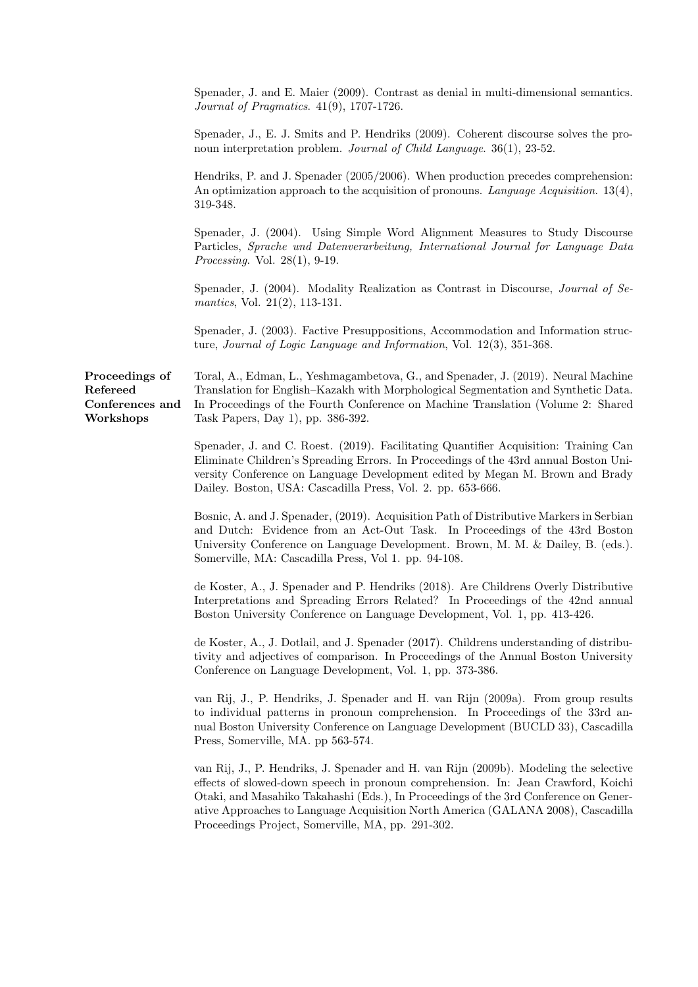|                                                            | Spenader, J. and E. Maier (2009). Contrast as denial in multi-dimensional semantics.<br><i>Journal of Pragmatics.</i> 41(9), 1707-1726.                                                                                                                                                                                                                                                                     |
|------------------------------------------------------------|-------------------------------------------------------------------------------------------------------------------------------------------------------------------------------------------------------------------------------------------------------------------------------------------------------------------------------------------------------------------------------------------------------------|
|                                                            | Spenader, J., E. J. Smits and P. Hendriks (2009). Coherent discourse solves the pro-<br>noun interpretation problem. Journal of Child Language. $36(1)$ , 23-52.                                                                                                                                                                                                                                            |
|                                                            | Hendriks, P. and J. Spenader (2005/2006). When production precedes comprehension:<br>An optimization approach to the acquisition of pronouns. Language Acquisition. 13(4),<br>319-348.                                                                                                                                                                                                                      |
|                                                            | Spenader, J. (2004). Using Simple Word Alignment Measures to Study Discourse<br>Particles, Sprache und Datenverarbeitung, International Journal for Language Data<br><i>Processing.</i> Vol. $28(1)$ , 9-19.                                                                                                                                                                                                |
|                                                            | Spenader, J. (2004). Modality Realization as Contrast in Discourse, <i>Journal of Se-</i><br>mantics, Vol. 21 $(2)$ , 113-131.                                                                                                                                                                                                                                                                              |
|                                                            | Spenader, J. (2003). Factive Presuppositions, Accommodation and Information struc-<br>ture, Journal of Logic Language and Information, Vol. 12(3), 351-368.                                                                                                                                                                                                                                                 |
| Proceedings of<br>Refereed<br>Conferences and<br>Workshops | Toral, A., Edman, L., Yeshmagambetova, G., and Spenader, J. (2019). Neural Machine<br>Translation for English-Kazakh with Morphological Segmentation and Synthetic Data.<br>In Proceedings of the Fourth Conference on Machine Translation (Volume 2: Shared<br>Task Papers, Day 1), pp. 386-392.                                                                                                           |
|                                                            | Spenader, J. and C. Roest. (2019). Facilitating Quantifier Acquisition: Training Can<br>Eliminate Children's Spreading Errors. In Proceedings of the 43rd annual Boston Uni-<br>versity Conference on Language Development edited by Megan M. Brown and Brady<br>Dailey. Boston, USA: Cascadilla Press, Vol. 2. pp. 653-666.                                                                                |
|                                                            | Bosnic, A. and J. Spenader, (2019). Acquisition Path of Distributive Markers in Serbian<br>and Dutch: Evidence from an Act-Out Task. In Proceedings of the 43rd Boston<br>University Conference on Language Development. Brown, M. M. & Dailey, B. (eds.).<br>Somerville, MA: Cascadilla Press, Vol 1. pp. 94-108.                                                                                          |
|                                                            | de Koster, A., J. Spenader and P. Hendriks (2018). Are Childrens Overly Distributive<br>Interpretations and Spreading Errors Related? In Proceedings of the 42nd annual<br>Boston University Conference on Language Development, Vol. 1, pp. 413-426.                                                                                                                                                       |
|                                                            | de Koster, A., J. Dotlail, and J. Spenader (2017). Childrens understanding of distribu-<br>tivity and adjectives of comparison. In Proceedings of the Annual Boston University<br>Conference on Language Development, Vol. 1, pp. 373-386.                                                                                                                                                                  |
|                                                            | van Rij, J., P. Hendriks, J. Spenader and H. van Rijn (2009a). From group results<br>to individual patterns in pronoun comprehension. In Proceedings of the 33rd an-<br>nual Boston University Conference on Language Development (BUCLD 33), Cascadilla<br>Press, Somerville, MA. pp 563-574.                                                                                                              |
|                                                            | van Rij, J., P. Hendriks, J. Spenader and H. van Rijn (2009b). Modeling the selective<br>effects of slowed-down speech in pronoun comprehension. In: Jean Crawford, Koichi<br>Otaki, and Masahiko Takahashi (Eds.), In Proceedings of the 3rd Conference on Gener-<br>ative Approaches to Language Acquisition North America (GALANA 2008), Cascadilla<br>Proceedings Project, Somerville, MA, pp. 291-302. |
|                                                            |                                                                                                                                                                                                                                                                                                                                                                                                             |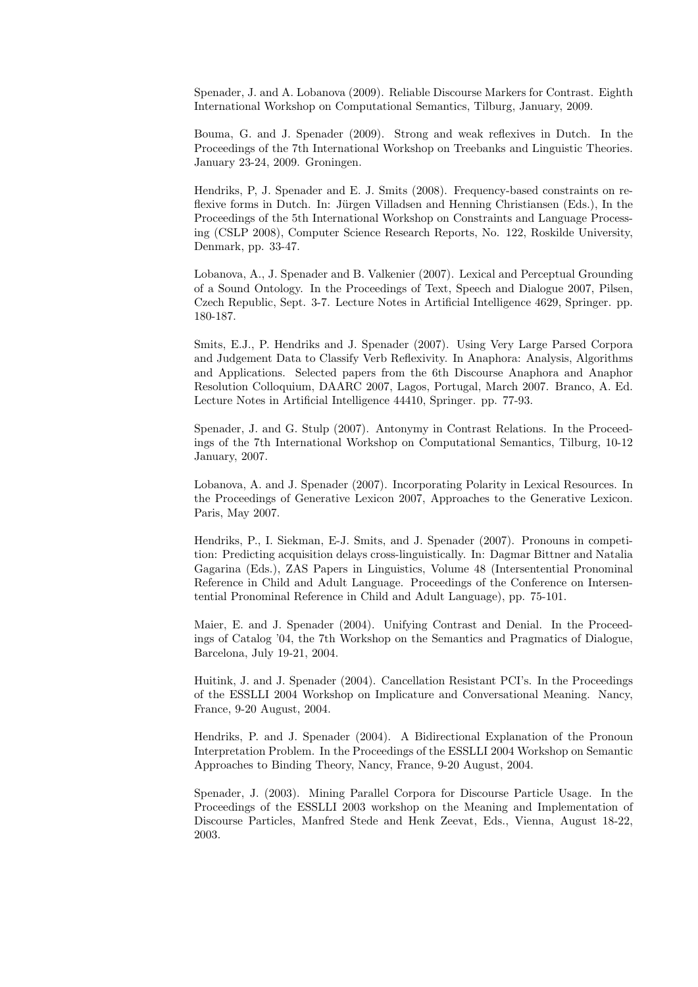Spenader, J. and A. Lobanova (2009). Reliable Discourse Markers for Contrast. Eighth International Workshop on Computational Semantics, Tilburg, January, 2009.

Bouma, G. and J. Spenader (2009). Strong and weak reflexives in Dutch. In the Proceedings of the 7th International Workshop on Treebanks and Linguistic Theories. January 23-24, 2009. Groningen.

Hendriks, P, J. Spenader and E. J. Smits (2008). Frequency-based constraints on reflexive forms in Dutch. In: Jürgen Villadsen and Henning Christiansen (Eds.), In the Proceedings of the 5th International Workshop on Constraints and Language Processing (CSLP 2008), Computer Science Research Reports, No. 122, Roskilde University, Denmark, pp. 33-47.

Lobanova, A., J. Spenader and B. Valkenier (2007). Lexical and Perceptual Grounding of a Sound Ontology. In the Proceedings of Text, Speech and Dialogue 2007, Pilsen, Czech Republic, Sept. 3-7. Lecture Notes in Artificial Intelligence 4629, Springer. pp. 180-187.

Smits, E.J., P. Hendriks and J. Spenader (2007). Using Very Large Parsed Corpora and Judgement Data to Classify Verb Reflexivity. In Anaphora: Analysis, Algorithms and Applications. Selected papers from the 6th Discourse Anaphora and Anaphor Resolution Colloquium, DAARC 2007, Lagos, Portugal, March 2007. Branco, A. Ed. Lecture Notes in Artificial Intelligence 44410, Springer. pp. 77-93.

Spenader, J. and G. Stulp (2007). Antonymy in Contrast Relations. In the Proceedings of the 7th International Workshop on Computational Semantics, Tilburg, 10-12 January, 2007.

Lobanova, A. and J. Spenader (2007). Incorporating Polarity in Lexical Resources. In the Proceedings of Generative Lexicon 2007, Approaches to the Generative Lexicon. Paris, May 2007.

Hendriks, P., I. Siekman, E-J. Smits, and J. Spenader (2007). Pronouns in competition: Predicting acquisition delays cross-linguistically. In: Dagmar Bittner and Natalia Gagarina (Eds.), ZAS Papers in Linguistics, Volume 48 (Intersentential Pronominal Reference in Child and Adult Language. Proceedings of the Conference on Intersentential Pronominal Reference in Child and Adult Language), pp. 75-101.

Maier, E. and J. Spenader (2004). Unifying Contrast and Denial. In the Proceedings of Catalog '04, the 7th Workshop on the Semantics and Pragmatics of Dialogue, Barcelona, July 19-21, 2004.

Huitink, J. and J. Spenader (2004). Cancellation Resistant PCI's. In the Proceedings of the ESSLLI 2004 Workshop on Implicature and Conversational Meaning. Nancy, France, 9-20 August, 2004.

Hendriks, P. and J. Spenader (2004). A Bidirectional Explanation of the Pronoun Interpretation Problem. In the Proceedings of the ESSLLI 2004 Workshop on Semantic Approaches to Binding Theory, Nancy, France, 9-20 August, 2004.

Spenader, J. (2003). Mining Parallel Corpora for Discourse Particle Usage. In the Proceedings of the ESSLLI 2003 workshop on the Meaning and Implementation of Discourse Particles, Manfred Stede and Henk Zeevat, Eds., Vienna, August 18-22, 2003.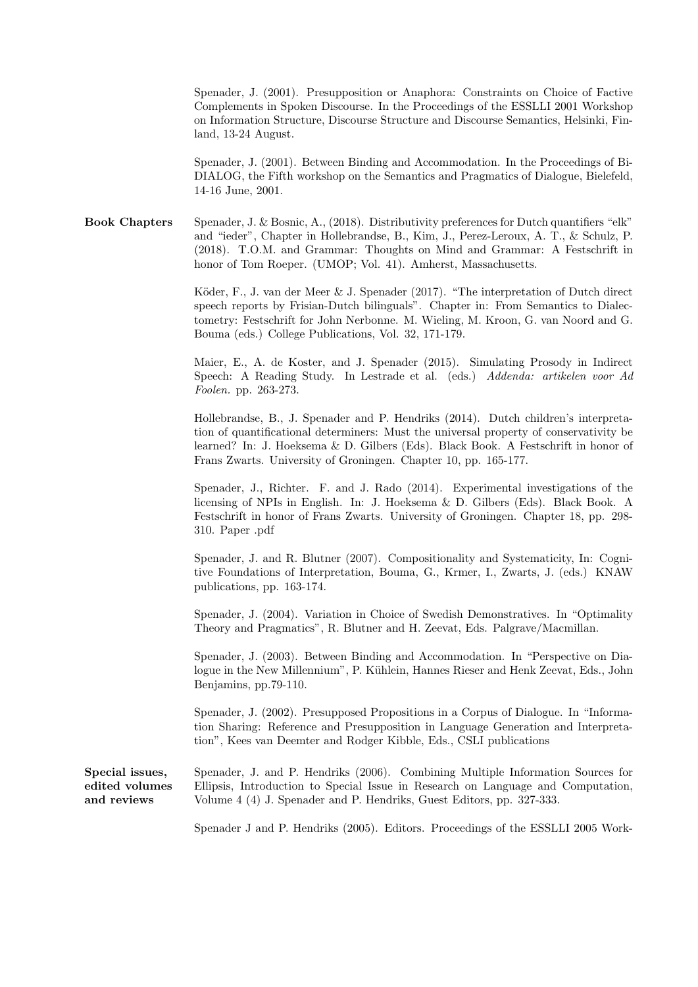Spenader, J. (2001). Presupposition or Anaphora: Constraints on Choice of Factive Complements in Spoken Discourse. In the Proceedings of the ESSLLI 2001 Workshop on Information Structure, Discourse Structure and Discourse Semantics, Helsinki, Finland, 13-24 August.

Spenader, J. (2001). Between Binding and Accommodation. In the Proceedings of Bi-DIALOG, the Fifth workshop on the Semantics and Pragmatics of Dialogue, Bielefeld, 14-16 June, 2001.

Book Chapters Spenader, J. & Bosnic, A., (2018). Distributivity preferences for Dutch quantifiers "elk" and "ieder", Chapter in Hollebrandse, B., Kim, J., Perez-Leroux, A. T., & Schulz, P. (2018). T.O.M. and Grammar: Thoughts on Mind and Grammar: A Festschrift in honor of Tom Roeper. (UMOP; Vol. 41). Amherst, Massachusetts.

> Köder, F., J. van der Meer & J. Spenader (2017). "The interpretation of Dutch direct speech reports by Frisian-Dutch bilinguals". Chapter in: From Semantics to Dialectometry: Festschrift for John Nerbonne. M. Wieling, M. Kroon, G. van Noord and G. Bouma (eds.) College Publications, Vol. 32, 171-179.

> Maier, E., A. de Koster, and J. Spenader (2015). Simulating Prosody in Indirect Speech: A Reading Study. In Lestrade et al. (eds.) Addenda: artikelen voor Ad Foolen. pp. 263-273.

> Hollebrandse, B., J. Spenader and P. Hendriks (2014). Dutch children's interpretation of quantificational determiners: Must the universal property of conservativity be learned? In: J. Hoeksema & D. Gilbers (Eds). Black Book. A Festschrift in honor of Frans Zwarts. University of Groningen. Chapter 10, pp. 165-177.

> Spenader, J., Richter. F. and J. Rado (2014). Experimental investigations of the licensing of NPIs in English. In: J. Hoeksema & D. Gilbers (Eds). Black Book. A Festschrift in honor of Frans Zwarts. University of Groningen. Chapter 18, pp. 298- 310. Paper .pdf

> Spenader, J. and R. Blutner (2007). Compositionality and Systematicity, In: Cognitive Foundations of Interpretation, Bouma, G., Krmer, I., Zwarts, J. (eds.) KNAW publications, pp. 163-174.

> Spenader, J. (2004). Variation in Choice of Swedish Demonstratives. In "Optimality Theory and Pragmatics", R. Blutner and H. Zeevat, Eds. Palgrave/Macmillan.

> Spenader, J. (2003). Between Binding and Accommodation. In "Perspective on Dialogue in the New Millennium", P. Kühlein, Hannes Rieser and Henk Zeevat, Eds., John Benjamins, pp.79-110.

> Spenader, J. (2002). Presupposed Propositions in a Corpus of Dialogue. In "Information Sharing: Reference and Presupposition in Language Generation and Interpretation", Kees van Deemter and Rodger Kibble, Eds., CSLI publications

Special issues, edited volumes and reviews Spenader, J. and P. Hendriks (2006). Combining Multiple Information Sources for Ellipsis, Introduction to Special Issue in Research on Language and Computation, Volume 4 (4) J. Spenader and P. Hendriks, Guest Editors, pp. 327-333.

Spenader J and P. Hendriks (2005). Editors. Proceedings of the ESSLLI 2005 Work-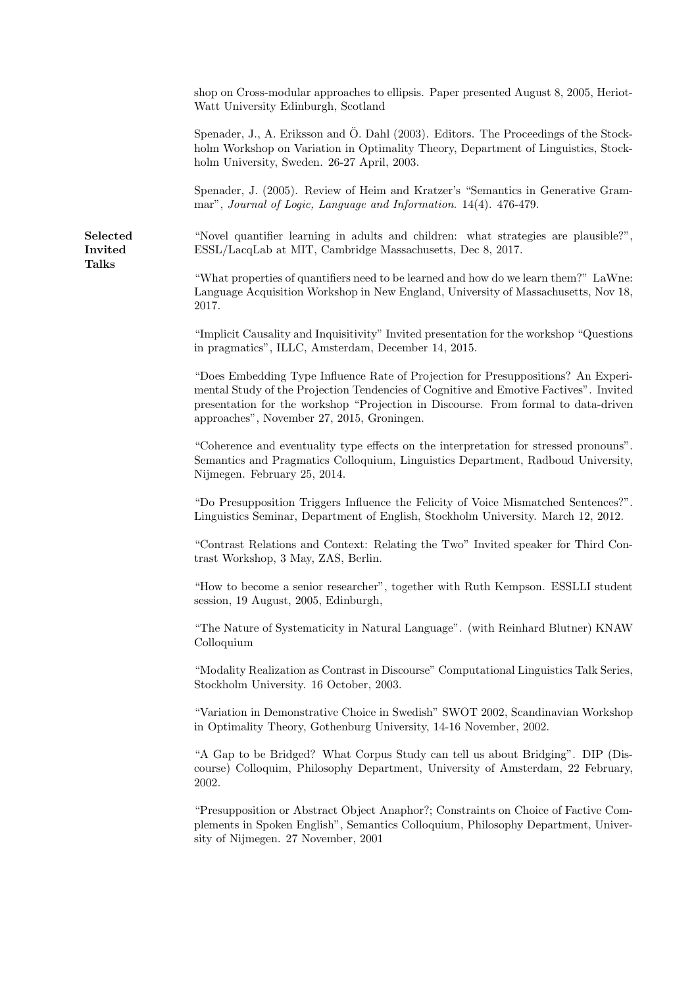shop on Cross-modular approaches to ellipsis. Paper presented August 8, 2005, Heriot-Watt University Edinburgh, Scotland

Spenader, J., A. Eriksson and Ö. Dahl (2003). Editors. The Proceedings of the Stockholm Workshop on Variation in Optimality Theory, Department of Linguistics, Stockholm University, Sweden. 26-27 April, 2003.

Spenader, J. (2005). Review of Heim and Kratzer's "Semantics in Generative Grammar", Journal of Logic, Language and Information. 14(4). 476-479.

"Novel quantifier learning in adults and children: what strategies are plausible?", ESSL/LacqLab at MIT, Cambridge Massachusetts, Dec 8, 2017.

"What properties of quantifiers need to be learned and how do we learn them?" LaWne: Language Acquisition Workshop in New England, University of Massachusetts, Nov 18, 2017.

"Implicit Causality and Inquisitivity" Invited presentation for the workshop "Questions in pragmatics", ILLC, Amsterdam, December 14, 2015.

"Does Embedding Type Influence Rate of Projection for Presuppositions? An Experimental Study of the Projection Tendencies of Cognitive and Emotive Factives". Invited presentation for the workshop "Projection in Discourse. From formal to data-driven approaches", November 27, 2015, Groningen.

"Coherence and eventuality type effects on the interpretation for stressed pronouns". Semantics and Pragmatics Colloquium, Linguistics Department, Radboud University, Nijmegen. February 25, 2014.

"Do Presupposition Triggers Influence the Felicity of Voice Mismatched Sentences?". Linguistics Seminar, Department of English, Stockholm University. March 12, 2012.

"Contrast Relations and Context: Relating the Two" Invited speaker for Third Contrast Workshop, 3 May, ZAS, Berlin.

"How to become a senior researcher", together with Ruth Kempson. ESSLLI student session, 19 August, 2005, Edinburgh,

"The Nature of Systematicity in Natural Language". (with Reinhard Blutner) KNAW Colloquium

"Modality Realization as Contrast in Discourse" Computational Linguistics Talk Series, Stockholm University. 16 October, 2003.

"Variation in Demonstrative Choice in Swedish" SWOT 2002, Scandinavian Workshop in Optimality Theory, Gothenburg University, 14-16 November, 2002.

"A Gap to be Bridged? What Corpus Study can tell us about Bridging". DIP (Discourse) Colloquim, Philosophy Department, University of Amsterdam, 22 February, 2002.

"Presupposition or Abstract Object Anaphor?; Constraints on Choice of Factive Complements in Spoken English", Semantics Colloquium, Philosophy Department, University of Nijmegen. 27 November, 2001

Selected Invited Talks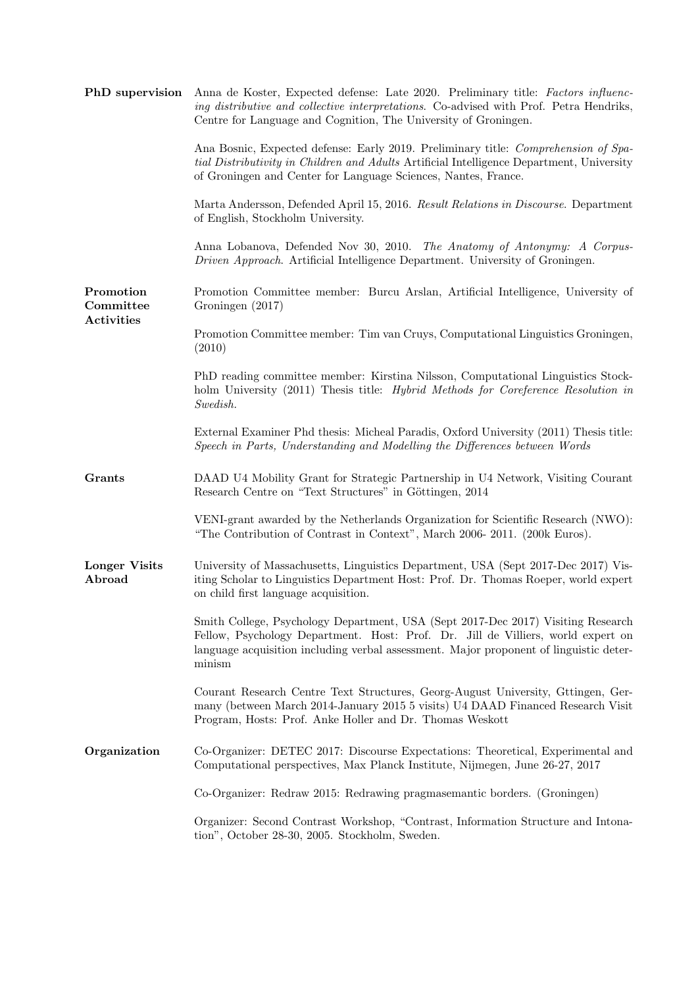| PhD supervision                             | Anna de Koster, Expected defense: Late 2020. Preliminary title: Factors influenc-<br>ing distributive and collective interpretations. Co-advised with Prof. Petra Hendriks,<br>Centre for Language and Cognition, The University of Groningen.                           |
|---------------------------------------------|--------------------------------------------------------------------------------------------------------------------------------------------------------------------------------------------------------------------------------------------------------------------------|
|                                             | Ana Bosnic, Expected defense: Early 2019. Preliminary title: Comprehension of Spa-<br>tial Distributivity in Children and Adults Artificial Intelligence Department, University<br>of Groningen and Center for Language Sciences, Nantes, France.                        |
|                                             | Marta Andersson, Defended April 15, 2016. Result Relations in Discourse. Department<br>of English, Stockholm University.                                                                                                                                                 |
|                                             | Anna Lobanova, Defended Nov 30, 2010. The Anatomy of Antonymy: A Corpus-<br>Driven Approach. Artificial Intelligence Department. University of Groningen.                                                                                                                |
| Promotion<br>Committee<br><b>Activities</b> | Promotion Committee member: Burcu Arslan, Artificial Intelligence, University of<br>Groningen (2017)                                                                                                                                                                     |
|                                             | Promotion Committee member: Tim van Cruys, Computational Linguistics Groningen,<br>(2010)                                                                                                                                                                                |
|                                             | PhD reading committee member: Kirstina Nilsson, Computational Linguistics Stock-<br>holm University (2011) Thesis title: Hybrid Methods for Coreference Resolution in<br>Swedish.                                                                                        |
|                                             | External Examiner Phd thesis: Micheal Paradis, Oxford University (2011) Thesis title:<br>Speech in Parts, Understanding and Modelling the Differences between Words                                                                                                      |
| Grants                                      | DAAD U4 Mobility Grant for Strategic Partnership in U4 Network, Visiting Courant<br>Research Centre on "Text Structures" in Göttingen, 2014                                                                                                                              |
|                                             | VENI-grant awarded by the Netherlands Organization for Scientific Research (NWO):<br>"The Contribution of Contrast in Context", March 2006-2011. (200k Euros).                                                                                                           |
| <b>Longer Visits</b><br>Abroad              | University of Massachusetts, Linguistics Department, USA (Sept 2017-Dec 2017) Vis-<br>iting Scholar to Linguistics Department Host: Prof. Dr. Thomas Roeper, world expert<br>on child first language acquisition.                                                        |
|                                             | Smith College, Psychology Department, USA (Sept 2017-Dec 2017) Visiting Research<br>Fellow, Psychology Department. Host: Prof. Dr. Jill de Villiers, world expert on<br>language acquisition including verbal assessment. Major proponent of linguistic deter-<br>minism |
|                                             | Courant Research Centre Text Structures, Georg-August University, Gttingen, Ger-<br>many (between March 2014-January 2015 5 visits) U4 DAAD Financed Research Visit<br>Program, Hosts: Prof. Anke Holler and Dr. Thomas Weskott                                          |
| Organization                                | Co-Organizer: DETEC 2017: Discourse Expectations: Theoretical, Experimental and<br>Computational perspectives, Max Planck Institute, Nijmegen, June 26-27, 2017                                                                                                          |
|                                             | Co-Organizer: Redraw 2015: Redrawing pragmasemantic borders. (Groningen)                                                                                                                                                                                                 |
|                                             | Organizer: Second Contrast Workshop, "Contrast, Information Structure and Intona-<br>tion", October 28-30, 2005. Stockholm, Sweden.                                                                                                                                      |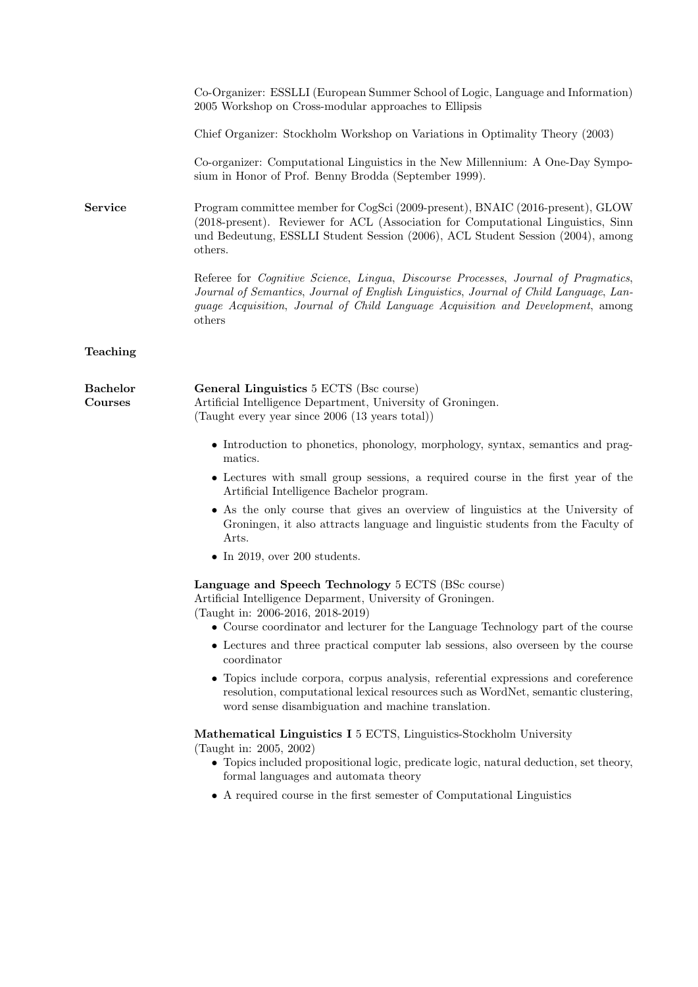|                                   | Co-Organizer: ESSLLI (European Summer School of Logic, Language and Information)<br>2005 Workshop on Cross-modular approaches to Ellipsis                                                                                                                                                                |
|-----------------------------------|----------------------------------------------------------------------------------------------------------------------------------------------------------------------------------------------------------------------------------------------------------------------------------------------------------|
|                                   | Chief Organizer: Stockholm Workshop on Variations in Optimality Theory (2003)                                                                                                                                                                                                                            |
|                                   | Co-organizer: Computational Linguistics in the New Millennium: A One-Day Sympo-<br>sium in Honor of Prof. Benny Brodda (September 1999).                                                                                                                                                                 |
| Service                           | Program committee member for CogSci (2009-present), BNAIC (2016-present), GLOW<br>(2018-present). Reviewer for ACL (Association for Computational Linguistics, Sinn<br>und Bedeutung, ESSLLI Student Session (2006), ACL Student Session (2004), among<br>others.                                        |
|                                   | Referee for <i>Cognitive Science</i> , <i>Lingua</i> , <i>Discourse Processes</i> , <i>Journal of Pragmatics</i> ,<br>Journal of Semantics, Journal of English Linguistics, Journal of Child Language, Lan-<br>guage Acquisition, Journal of Child Language Acquisition and Development, among<br>others |
| Teaching                          |                                                                                                                                                                                                                                                                                                          |
| <b>Bachelor</b><br><b>Courses</b> | General Linguistics 5 ECTS (Bsc course)<br>Artificial Intelligence Department, University of Groningen.<br>(Taught every year since 2006 (13 years total))                                                                                                                                               |
|                                   | • Introduction to phonetics, phonology, morphology, syntax, semantics and prag-<br>matics.                                                                                                                                                                                                               |
|                                   | • Lectures with small group sessions, a required course in the first year of the<br>Artificial Intelligence Bachelor program.                                                                                                                                                                            |
|                                   | • As the only course that gives an overview of linguistics at the University of<br>Groningen, it also attracts language and linguistic students from the Faculty of<br>Arts.                                                                                                                             |
|                                   | $\bullet$ In 2019, over 200 students.                                                                                                                                                                                                                                                                    |
|                                   | Language and Speech Technology 5 ECTS (BSc course)<br>Artificial Intelligence Deparment, University of Groningen.<br>(Taught in: 2006-2016, 2018-2019)                                                                                                                                                   |
|                                   | • Course coordinator and lecturer for the Language Technology part of the course                                                                                                                                                                                                                         |
|                                   | • Lectures and three practical computer lab sessions, also overseen by the course<br>coordinator                                                                                                                                                                                                         |
|                                   | • Topics include corpora, corpus analysis, referential expressions and coreference<br>resolution, computational lexical resources such as WordNet, semantic clustering,<br>word sense disambiguation and machine translation.                                                                            |
|                                   | Mathematical Linguistics I 5 ECTS, Linguistics-Stockholm University<br>(Taught in: 2005, 2002)<br>• Topics included propositional logic, predicate logic, natural deduction, set theory,<br>formal languages and automata theory                                                                         |
|                                   | • A required course in the first semester of Computational Linguistics                                                                                                                                                                                                                                   |
|                                   |                                                                                                                                                                                                                                                                                                          |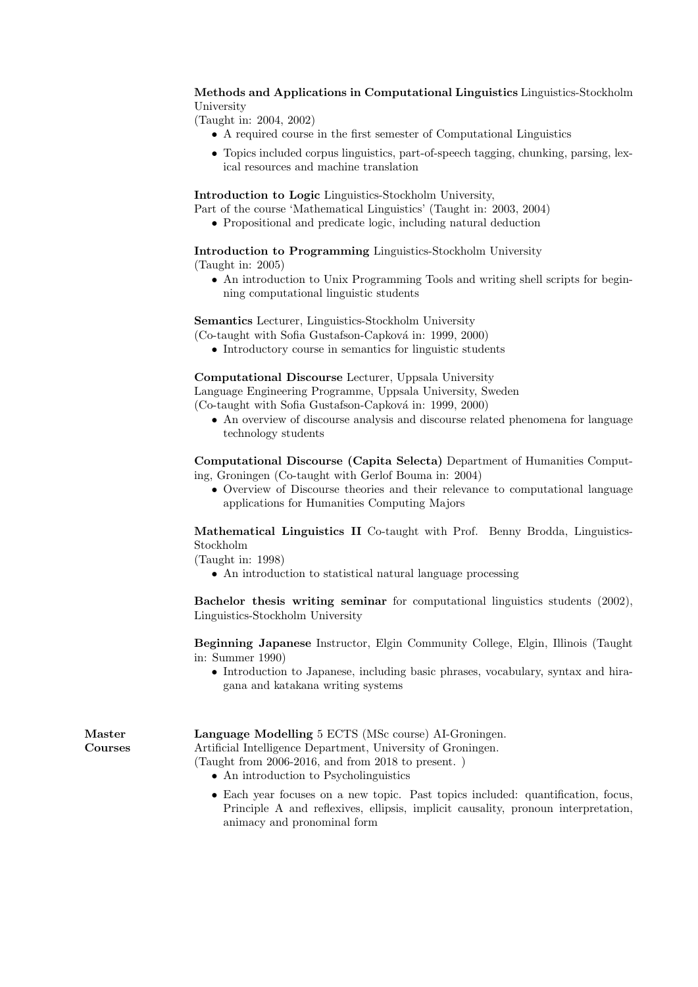Methods and Applications in Computational Linguistics Linguistics-Stockholm University

(Taught in: 2004, 2002)

- A required course in the first semester of Computational Linguistics
- Topics included corpus linguistics, part-of-speech tagging, chunking, parsing, lexical resources and machine translation

Introduction to Logic Linguistics-Stockholm University,

- Part of the course 'Mathematical Linguistics' (Taught in: 2003, 2004)
	- Propositional and predicate logic, including natural deduction

Introduction to Programming Linguistics-Stockholm University (Taught in: 2005)

• An introduction to Unix Programming Tools and writing shell scripts for beginning computational linguistic students

Semantics Lecturer, Linguistics-Stockholm University

 $(Co$ -taught with Sofia Gustafson-Capková in: 1999, 2000)

• Introductory course in semantics for linguistic students

Computational Discourse Lecturer, Uppsala University

Language Engineering Programme, Uppsala University, Sweden  $(Co$ -taught with Sofia Gustafson-Capková in: 1999, 2000)

• An overview of discourse analysis and discourse related phenomena for language technology students

Computational Discourse (Capita Selecta) Department of Humanities Computing, Groningen (Co-taught with Gerlof Bouma in: 2004)

• Overview of Discourse theories and their relevance to computational language applications for Humanities Computing Majors

Mathematical Linguistics II Co-taught with Prof. Benny Brodda, Linguistics-Stockholm

(Taught in: 1998)

• An introduction to statistical natural language processing

Bachelor thesis writing seminar for computational linguistics students (2002), Linguistics-Stockholm University

Beginning Japanese Instructor, Elgin Community College, Elgin, Illinois (Taught in: Summer 1990)

• Introduction to Japanese, including basic phrases, vocabulary, syntax and hiragana and katakana writing systems

| $\operatorname{Master}$ | Language Modelling 5 ECTS (MSc course) AI-Groningen.         |  |
|-------------------------|--------------------------------------------------------------|--|
| Courses                 | Artificial Intelligence Department, University of Groningen. |  |
|                         | (Taught from $2006-2016$ , and from $2018$ to present.)      |  |
|                         | • An introduction to Psycholinguistics                       |  |

• Each year focuses on a new topic. Past topics included: quantification, focus, Principle A and reflexives, ellipsis, implicit causality, pronoun interpretation, animacy and pronominal form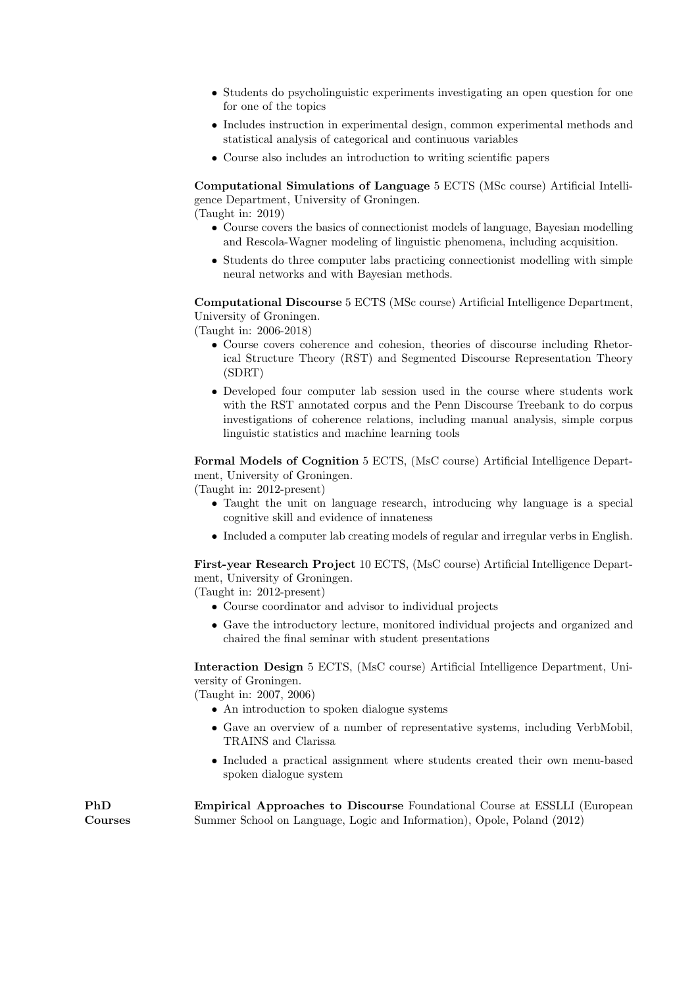- Students do psycholinguistic experiments investigating an open question for one for one of the topics
- Includes instruction in experimental design, common experimental methods and statistical analysis of categorical and continuous variables
- Course also includes an introduction to writing scientific papers

Computational Simulations of Language 5 ECTS (MSc course) Artificial Intelligence Department, University of Groningen.

(Taught in: 2019)

- Course covers the basics of connectionist models of language, Bayesian modelling and Rescola-Wagner modeling of linguistic phenomena, including acquisition.
- Students do three computer labs practicing connectionist modelling with simple neural networks and with Bayesian methods.

Computational Discourse 5 ECTS (MSc course) Artificial Intelligence Department, University of Groningen.

(Taught in: 2006-2018)

- Course covers coherence and cohesion, theories of discourse including Rhetorical Structure Theory (RST) and Segmented Discourse Representation Theory (SDRT)
- Developed four computer lab session used in the course where students work with the RST annotated corpus and the Penn Discourse Treebank to do corpus investigations of coherence relations, including manual analysis, simple corpus linguistic statistics and machine learning tools

Formal Models of Cognition 5 ECTS, (MsC course) Artificial Intelligence Department, University of Groningen.

(Taught in: 2012-present)

- Taught the unit on language research, introducing why language is a special cognitive skill and evidence of innateness
- Included a computer lab creating models of regular and irregular verbs in English.

First-year Research Project 10 ECTS, (MsC course) Artificial Intelligence Department, University of Groningen.

(Taught in: 2012-present)

- Course coordinator and advisor to individual projects
- Gave the introductory lecture, monitored individual projects and organized and chaired the final seminar with student presentations

Interaction Design 5 ECTS, (MsC course) Artificial Intelligence Department, University of Groningen.

(Taught in: 2007, 2006)

- An introduction to spoken dialogue systems
- Gave an overview of a number of representative systems, including VerbMobil, TRAINS and Clarissa
- Included a practical assignment where students created their own menu-based spoken dialogue system

PhD Courses Empirical Approaches to Discourse Foundational Course at ESSLLI (European Summer School on Language, Logic and Information), Opole, Poland (2012)